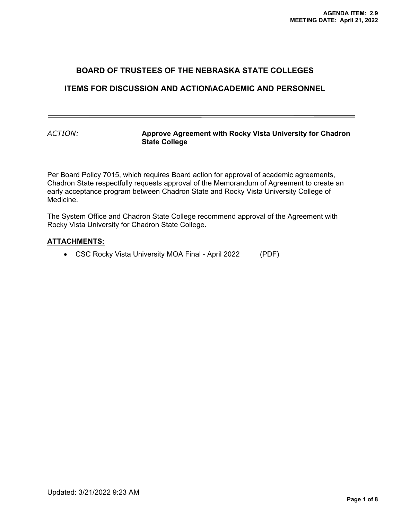### **BOARD OF TRUSTEES OF THE NEBRASKA STATE COLLEGES**

### **ITEMS FOR DISCUSSION AND ACTION\ACADEMIC AND PERSONNEL**

*ACTION:* **Approve Agreement with Rocky Vista University for Chadron State College** 

Per Board Policy 7015, which requires Board action for approval of academic agreements, Chadron State respectfully requests approval of the Memorandum of Agreement to create an early acceptance program between Chadron State and Rocky Vista University College of Medicine.

The System Office and Chadron State College recommend approval of the Agreement with Rocky Vista University for Chadron State College.

#### **ATTACHMENTS:**

CSC Rocky Vista University MOA Final - April 2022 (PDF)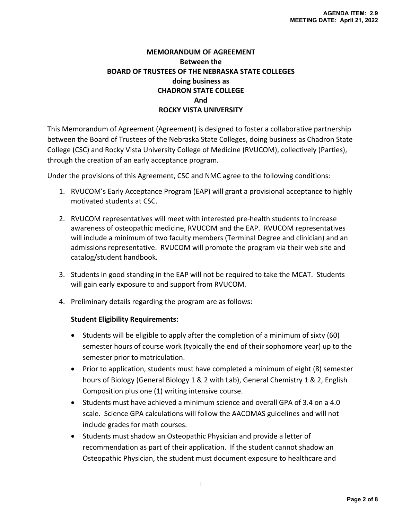## **MEMORANDUM OF AGREEMENT Between the BOARD OF TRUSTEES OF THE NEBRASKA STATE COLLEGES doing business as CHADRON STATE COLLEGE And ROCKY VISTA UNIVERSITY**

This Memorandum of Agreement (Agreement) is designed to foster a collaborative partnership between the Board of Trustees of the Nebraska State Colleges, doing business as Chadron State College (CSC) and Rocky Vista University College of Medicine (RVUCOM), collectively (Parties), through the creation of an early acceptance program.

Under the provisions of this Agreement, CSC and NMC agree to the following conditions:

- 1. RVUCOM's Early Acceptance Program (EAP) will grant a provisional acceptance to highly motivated students at CSC.
- 2. RVUCOM representatives will meet with interested pre‐health students to increase awareness of osteopathic medicine, RVUCOM and the EAP. RVUCOM representatives will include a minimum of two faculty members (Terminal Degree and clinician) and an admissions representative. RVUCOM will promote the program via their web site and catalog/student handbook.
- 3. Students in good standing in the EAP will not be required to take the MCAT. Students will gain early exposure to and support from RVUCOM.
- 4. Preliminary details regarding the program are as follows:

### **Student Eligibility Requirements:**

- Students will be eligible to apply after the completion of a minimum of sixty (60) semester hours of course work (typically the end of their sophomore year) up to the semester prior to matriculation.
- Prior to application, students must have completed a minimum of eight (8) semester hours of Biology (General Biology 1 & 2 with Lab), General Chemistry 1 & 2, English Composition plus one (1) writing intensive course.
- Students must have achieved a minimum science and overall GPA of 3.4 on a 4.0 scale. Science GPA calculations will follow the AACOMAS guidelines and will not include grades for math courses.
- Students must shadow an Osteopathic Physician and provide a letter of recommendation as part of their application. If the student cannot shadow an Osteopathic Physician, the student must document exposure to healthcare and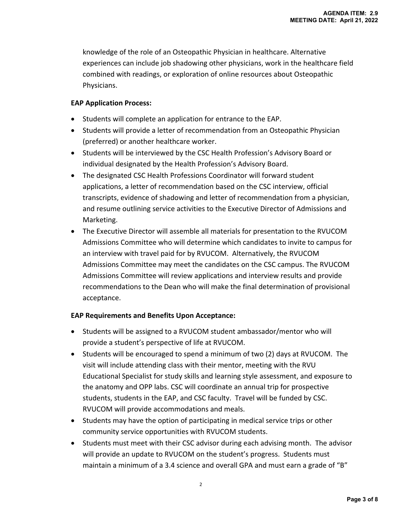knowledge of the role of an Osteopathic Physician in healthcare. Alternative experiences can include job shadowing other physicians, work in the healthcare field combined with readings, or exploration of online resources about Osteopathic Physicians.

### **EAP Application Process:**

- Students will complete an application for entrance to the EAP.
- Students will provide a letter of recommendation from an Osteopathic Physician (preferred) or another healthcare worker.
- Students will be interviewed by the CSC Health Profession's Advisory Board or individual designated by the Health Profession's Advisory Board.
- The designated CSC Health Professions Coordinator will forward student applications, a letter of recommendation based on the CSC interview, official transcripts, evidence of shadowing and letter of recommendation from a physician, and resume outlining service activities to the Executive Director of Admissions and Marketing.
- The Executive Director will assemble all materials for presentation to the RVUCOM Admissions Committee who will determine which candidates to invite to campus for an interview with travel paid for by RVUCOM. Alternatively, the RVUCOM Admissions Committee may meet the candidates on the CSC campus. The RVUCOM Admissions Committee will review applications and interview results and provide recommendations to the Dean who will make the final determination of provisional acceptance.

### **EAP Requirements and Benefits Upon Acceptance:**

- Students will be assigned to a RVUCOM student ambassador/mentor who will provide a student's perspective of life at RVUCOM.
- Students will be encouraged to spend a minimum of two (2) days at RVUCOM. The visit will include attending class with their mentor, meeting with the RVU Educational Specialist for study skills and learning style assessment, and exposure to the anatomy and OPP labs. CSC will coordinate an annual trip for prospective students, students in the EAP, and CSC faculty. Travel will be funded by CSC. RVUCOM will provide accommodations and meals.
- Students may have the option of participating in medical service trips or other community service opportunities with RVUCOM students.
- Students must meet with their CSC advisor during each advising month. The advisor will provide an update to RVUCOM on the student's progress. Students must maintain a minimum of a 3.4 science and overall GPA and must earn a grade of "B"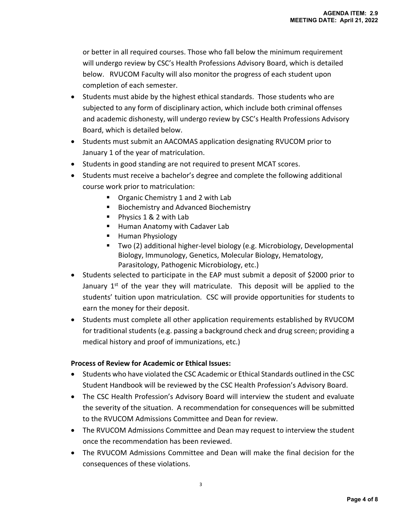or better in all required courses. Those who fall below the minimum requirement will undergo review by CSC's Health Professions Advisory Board, which is detailed below. RVUCOM Faculty will also monitor the progress of each student upon completion of each semester.

- Students must abide by the highest ethical standards. Those students who are subjected to any form of disciplinary action, which include both criminal offenses and academic dishonesty, will undergo review by CSC's Health Professions Advisory Board, which is detailed below.
- Students must submit an AACOMAS application designating RVUCOM prior to January 1 of the year of matriculation.
- Students in good standing are not required to present MCAT scores.
- Students must receive a bachelor's degree and complete the following additional course work prior to matriculation:
	- Organic Chemistry 1 and 2 with Lab
	- **Biochemistry and Advanced Biochemistry**
	- Physics 1 & 2 with Lab
	- **Human Anatomy with Cadaver Lab**
	- **Human Physiology**
	- Two (2) additional higher-level biology (e.g. Microbiology, Developmental Biology, Immunology, Genetics, Molecular Biology, Hematology, Parasitology, Pathogenic Microbiology, etc.)
- Students selected to participate in the EAP must submit a deposit of \$2000 prior to January  $1^{st}$  of the year they will matriculate. This deposit will be applied to the students' tuition upon matriculation. CSC will provide opportunities for students to earn the money for their deposit.
- Students must complete all other application requirements established by RVUCOM for traditional students (e.g. passing a background check and drug screen; providing a medical history and proof of immunizations, etc.)

## **Process of Review for Academic or Ethical Issues:**

- Students who have violated the CSC Academic or Ethical Standards outlined in the CSC Student Handbook will be reviewed by the CSC Health Profession's Advisory Board.
- The CSC Health Profession's Advisory Board will interview the student and evaluate the severity of the situation. A recommendation for consequences will be submitted to the RVUCOM Admissions Committee and Dean for review.
- The RVUCOM Admissions Committee and Dean may request to interview the student once the recommendation has been reviewed.
- The RVUCOM Admissions Committee and Dean will make the final decision for the consequences of these violations.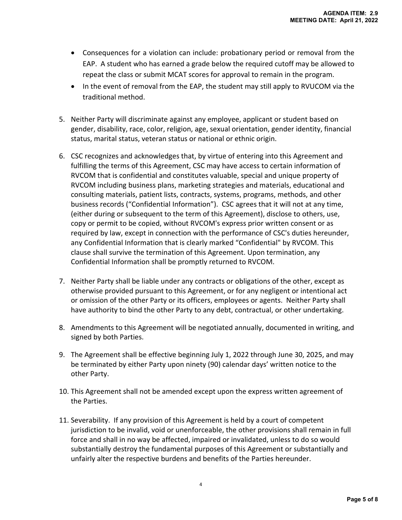- Consequences for a violation can include: probationary period or removal from the EAP. A student who has earned a grade below the required cutoff may be allowed to repeat the class or submit MCAT scores for approval to remain in the program.
- In the event of removal from the EAP, the student may still apply to RVUCOM via the traditional method.
- 5. Neither Party will discriminate against any employee, applicant or student based on gender, disability, race, color, religion, age, sexual orientation, gender identity, financial status, marital status, veteran status or national or ethnic origin.
- 6. CSC recognizes and acknowledges that, by virtue of entering into this Agreement and fulfilling the terms of this Agreement, CSC may have access to certain information of RVCOM that is confidential and constitutes valuable, special and unique property of RVCOM including business plans, marketing strategies and materials, educational and consulting materials, patient lists, contracts, systems, programs, methods, and other business records ("Confidential Information"). CSC agrees that it will not at any time, (either during or subsequent to the term of this Agreement), disclose to others, use, copy or permit to be copied, without RVCOM's express prior written consent or as required by law, except in connection with the performance of CSC's duties hereunder, any Confidential Information that is clearly marked "Confidential" by RVCOM. This clause shall survive the termination of this Agreement. Upon termination, any Confidential Information shall be promptly returned to RVCOM.
- 7. Neither Party shall be liable under any contracts or obligations of the other, except as otherwise provided pursuant to this Agreement, or for any negligent or intentional act or omission of the other Party or its officers, employees or agents. Neither Party shall have authority to bind the other Party to any debt, contractual, or other undertaking.
- 8. Amendments to this Agreement will be negotiated annually, documented in writing, and signed by both Parties.
- 9. The Agreement shall be effective beginning July 1, 2022 through June 30, 2025, and may be terminated by either Party upon ninety (90) calendar days' written notice to the other Party.
- 10. This Agreement shall not be amended except upon the express written agreement of the Parties.
- 11. Severability. If any provision of this Agreement is held by a court of competent jurisdiction to be invalid, void or unenforceable, the other provisions shall remain in full force and shall in no way be affected, impaired or invalidated, unless to do so would substantially destroy the fundamental purposes of this Agreement or substantially and unfairly alter the respective burdens and benefits of the Parties hereunder.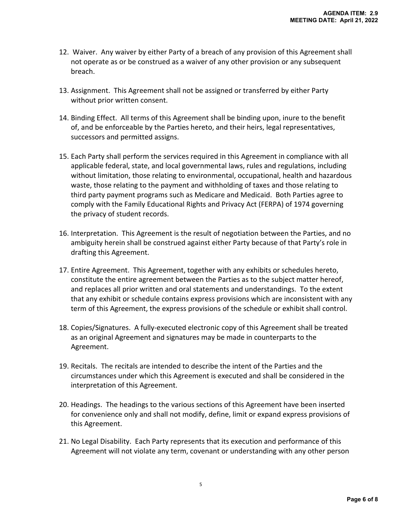- 12. Waiver. Any waiver by either Party of a breach of any provision of this Agreement shall not operate as or be construed as a waiver of any other provision or any subsequent breach.
- 13. Assignment. This Agreement shall not be assigned or transferred by either Party without prior written consent.
- 14. Binding Effect. All terms of this Agreement shall be binding upon, inure to the benefit of, and be enforceable by the Parties hereto, and their heirs, legal representatives, successors and permitted assigns.
- 15. Each Party shall perform the services required in this Agreement in compliance with all applicable federal, state, and local governmental laws, rules and regulations, including without limitation, those relating to environmental, occupational, health and hazardous waste, those relating to the payment and withholding of taxes and those relating to third party payment programs such as Medicare and Medicaid. Both Parties agree to comply with the Family Educational Rights and Privacy Act (FERPA) of 1974 governing the privacy of student records.
- 16. Interpretation. This Agreement is the result of negotiation between the Parties, and no ambiguity herein shall be construed against either Party because of that Party's role in drafting this Agreement.
- 17. Entire Agreement. This Agreement, together with any exhibits or schedules hereto, constitute the entire agreement between the Parties as to the subject matter hereof, and replaces all prior written and oral statements and understandings. To the extent that any exhibit or schedule contains express provisions which are inconsistent with any term of this Agreement, the express provisions of the schedule or exhibit shall control.
- 18. Copies/Signatures. A fully-executed electronic copy of this Agreement shall be treated as an original Agreement and signatures may be made in counterparts to the Agreement.
- 19. Recitals. The recitals are intended to describe the intent of the Parties and the circumstances under which this Agreement is executed and shall be considered in the interpretation of this Agreement.
- 20. Headings. The headings to the various sections of this Agreement have been inserted for convenience only and shall not modify, define, limit or expand express provisions of this Agreement.
- 21. No Legal Disability. Each Party represents that its execution and performance of this Agreement will not violate any term, covenant or understanding with any other person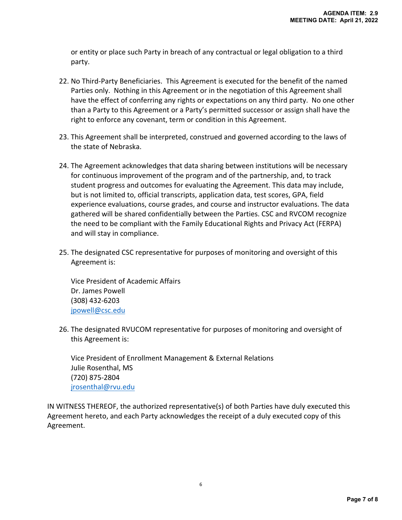or entity or place such Party in breach of any contractual or legal obligation to a third party.

- 22. No Third‐Party Beneficiaries. This Agreement is executed for the benefit of the named Parties only. Nothing in this Agreement or in the negotiation of this Agreement shall have the effect of conferring any rights or expectations on any third party. No one other than a Party to this Agreement or a Party's permitted successor or assign shall have the right to enforce any covenant, term or condition in this Agreement.
- 23. This Agreement shall be interpreted, construed and governed according to the laws of the state of Nebraska.
- 24. The Agreement acknowledges that data sharing between institutions will be necessary for continuous improvement of the program and of the partnership, and, to track student progress and outcomes for evaluating the Agreement. This data may include, but is not limited to, official transcripts, application data, test scores, GPA, field experience evaluations, course grades, and course and instructor evaluations. The data gathered will be shared confidentially between the Parties. CSC and RVCOM recognize the need to be compliant with the Family Educational Rights and Privacy Act (FERPA) and will stay in compliance.
- 25. The designated CSC representative for purposes of monitoring and oversight of this Agreement is:

Vice President of Academic Affairs Dr. James Powell (308) 432‐6203 jpowell@csc.edu

26. The designated RVUCOM representative for purposes of monitoring and oversight of this Agreement is:

Vice President of Enrollment Management & External Relations Julie Rosenthal, MS (720) 875‐2804 jrosenthal@rvu.edu

IN WITNESS THEREOF, the authorized representative(s) of both Parties have duly executed this Agreement hereto, and each Party acknowledges the receipt of a duly executed copy of this Agreement.